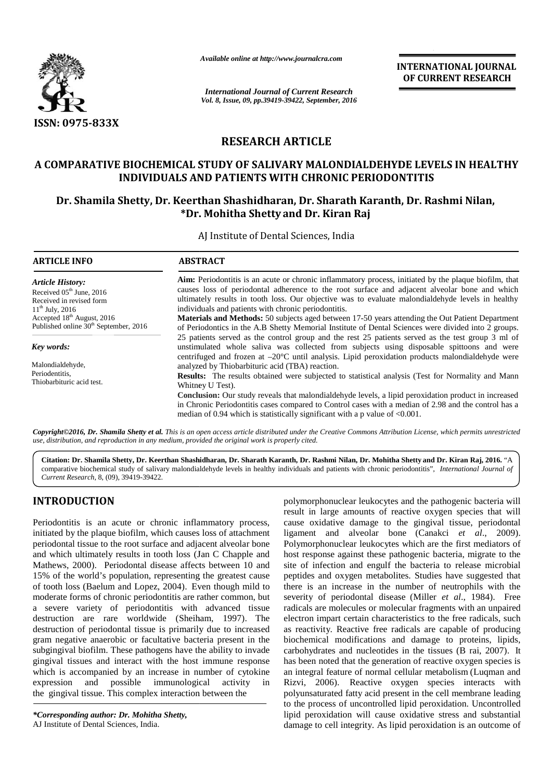

*Available online at http://www.journalcra.com*

# **RESEARCH ARTICLE RESEARCH**

# **A COMPARATIVE BIOCHEMICAL STUDY OF SALIVARY MALONDIALDEHYDE LEVELS IN HEALTHY COMPARATIVE BIOCHEMICALSALIVARY MALONDIALDEHYDE INDIVIDUALS AND PATIENTS WITH CHRONIC PERIODONTITIS**

# **Dr. Shamila Shetty, Dr. Keerthan Shashidharan, Dr. Sharath Karanth, Dr. Rashmi Nilan, \*Dr. Mohitha Shetty and Dr. Kiran Raj Dr.**

|                                                                                                                                                                                                                                                                                                                                                                                                                                                                                                                                                                                                                                                                                                                                                                                                                                                                                                                                                                                                                                                                                                        | Available online at http://www.journalcra.com                                                                                                                                                                                                                                                                                                                                                                                                                                                                                                                                  |                                                                                                        | <b>INTERNATIONAL JOURNAL</b><br>OF CURRENT RESEARCH                                                                                                                                                                                                                                                                                                                                                                                                                                                                                                                                                                                                                                                                                                                                                                                                                                                                                                                                                                                                                                                                                                                                          |  |  |  |  |  |  |
|--------------------------------------------------------------------------------------------------------------------------------------------------------------------------------------------------------------------------------------------------------------------------------------------------------------------------------------------------------------------------------------------------------------------------------------------------------------------------------------------------------------------------------------------------------------------------------------------------------------------------------------------------------------------------------------------------------------------------------------------------------------------------------------------------------------------------------------------------------------------------------------------------------------------------------------------------------------------------------------------------------------------------------------------------------------------------------------------------------|--------------------------------------------------------------------------------------------------------------------------------------------------------------------------------------------------------------------------------------------------------------------------------------------------------------------------------------------------------------------------------------------------------------------------------------------------------------------------------------------------------------------------------------------------------------------------------|--------------------------------------------------------------------------------------------------------|----------------------------------------------------------------------------------------------------------------------------------------------------------------------------------------------------------------------------------------------------------------------------------------------------------------------------------------------------------------------------------------------------------------------------------------------------------------------------------------------------------------------------------------------------------------------------------------------------------------------------------------------------------------------------------------------------------------------------------------------------------------------------------------------------------------------------------------------------------------------------------------------------------------------------------------------------------------------------------------------------------------------------------------------------------------------------------------------------------------------------------------------------------------------------------------------|--|--|--|--|--|--|
|                                                                                                                                                                                                                                                                                                                                                                                                                                                                                                                                                                                                                                                                                                                                                                                                                                                                                                                                                                                                                                                                                                        |                                                                                                                                                                                                                                                                                                                                                                                                                                                                                                                                                                                | <b>International Journal of Current Research</b><br>Vol. 8, Issue, 09, pp.39419-39422, September, 2016 |                                                                                                                                                                                                                                                                                                                                                                                                                                                                                                                                                                                                                                                                                                                                                                                                                                                                                                                                                                                                                                                                                                                                                                                              |  |  |  |  |  |  |
| <b>ISSN: 0975-833X</b>                                                                                                                                                                                                                                                                                                                                                                                                                                                                                                                                                                                                                                                                                                                                                                                                                                                                                                                                                                                                                                                                                 |                                                                                                                                                                                                                                                                                                                                                                                                                                                                                                                                                                                |                                                                                                        |                                                                                                                                                                                                                                                                                                                                                                                                                                                                                                                                                                                                                                                                                                                                                                                                                                                                                                                                                                                                                                                                                                                                                                                              |  |  |  |  |  |  |
|                                                                                                                                                                                                                                                                                                                                                                                                                                                                                                                                                                                                                                                                                                                                                                                                                                                                                                                                                                                                                                                                                                        | <b>RESEARCH ARTICLE</b>                                                                                                                                                                                                                                                                                                                                                                                                                                                                                                                                                        |                                                                                                        |                                                                                                                                                                                                                                                                                                                                                                                                                                                                                                                                                                                                                                                                                                                                                                                                                                                                                                                                                                                                                                                                                                                                                                                              |  |  |  |  |  |  |
|                                                                                                                                                                                                                                                                                                                                                                                                                                                                                                                                                                                                                                                                                                                                                                                                                                                                                                                                                                                                                                                                                                        | <b>INDIVIDUALS AND PATIENTS WITH CHRONIC PERIODONTITIS</b>                                                                                                                                                                                                                                                                                                                                                                                                                                                                                                                     |                                                                                                        | A COMPARATIVE BIOCHEMICAL STUDY OF SALIVARY MALONDIALDEHYDE LEVELS IN HEALTHY                                                                                                                                                                                                                                                                                                                                                                                                                                                                                                                                                                                                                                                                                                                                                                                                                                                                                                                                                                                                                                                                                                                |  |  |  |  |  |  |
|                                                                                                                                                                                                                                                                                                                                                                                                                                                                                                                                                                                                                                                                                                                                                                                                                                                                                                                                                                                                                                                                                                        | *Dr. Mohitha Shetty and Dr. Kiran Raj                                                                                                                                                                                                                                                                                                                                                                                                                                                                                                                                          |                                                                                                        | Dr. Shamila Shetty, Dr. Keerthan Shashidharan, Dr. Sharath Karanth, Dr. Rashmi Nilan,                                                                                                                                                                                                                                                                                                                                                                                                                                                                                                                                                                                                                                                                                                                                                                                                                                                                                                                                                                                                                                                                                                        |  |  |  |  |  |  |
|                                                                                                                                                                                                                                                                                                                                                                                                                                                                                                                                                                                                                                                                                                                                                                                                                                                                                                                                                                                                                                                                                                        | AJ Institute of Dental Sciences, India                                                                                                                                                                                                                                                                                                                                                                                                                                                                                                                                         |                                                                                                        |                                                                                                                                                                                                                                                                                                                                                                                                                                                                                                                                                                                                                                                                                                                                                                                                                                                                                                                                                                                                                                                                                                                                                                                              |  |  |  |  |  |  |
| <b>ARTICLE INFO</b>                                                                                                                                                                                                                                                                                                                                                                                                                                                                                                                                                                                                                                                                                                                                                                                                                                                                                                                                                                                                                                                                                    | <b>ABSTRACT</b>                                                                                                                                                                                                                                                                                                                                                                                                                                                                                                                                                                |                                                                                                        |                                                                                                                                                                                                                                                                                                                                                                                                                                                                                                                                                                                                                                                                                                                                                                                                                                                                                                                                                                                                                                                                                                                                                                                              |  |  |  |  |  |  |
| <b>Article History:</b><br>Received 05 <sup>th</sup> June, 2016<br>Received in revised form<br>$11^{th}$ July, 2016<br>Accepted 18 <sup>th</sup> August, 2016<br>Published online 30 <sup>th</sup> September, 2016                                                                                                                                                                                                                                                                                                                                                                                                                                                                                                                                                                                                                                                                                                                                                                                                                                                                                     | Aim: Periodontitis is an acute or chronic inflammatory process, initiated by the plaque biofilm, that<br>causes loss of periodontal adherence to the root surface and adjacent alveolar bone and which<br>ultimately results in tooth loss. Our objective was to evaluate malondialdehyde levels in healthy<br>individuals and patients with chronic periodontitis.<br>Materials and Methods: 50 subjects aged between 17-50 years attending the Out Patient Department<br>of Periodontics in the A.B Shetty Memorial Institute of Dental Sciences were divided into 2 groups. |                                                                                                        |                                                                                                                                                                                                                                                                                                                                                                                                                                                                                                                                                                                                                                                                                                                                                                                                                                                                                                                                                                                                                                                                                                                                                                                              |  |  |  |  |  |  |
| Key words:                                                                                                                                                                                                                                                                                                                                                                                                                                                                                                                                                                                                                                                                                                                                                                                                                                                                                                                                                                                                                                                                                             | 25 patients served as the control group and the rest 25 patients served as the test group 3 ml of<br>unstimulated whole saliva was collected from subjects using disposable spittoons and were<br>centrifuged and frozen at $-20^{\circ}$ C until analysis. Lipid peroxidation products malondialdehyde were<br>analyzed by Thiobarbituric acid (TBA) reaction.                                                                                                                                                                                                                |                                                                                                        |                                                                                                                                                                                                                                                                                                                                                                                                                                                                                                                                                                                                                                                                                                                                                                                                                                                                                                                                                                                                                                                                                                                                                                                              |  |  |  |  |  |  |
| Malondialdehyde,                                                                                                                                                                                                                                                                                                                                                                                                                                                                                                                                                                                                                                                                                                                                                                                                                                                                                                                                                                                                                                                                                       |                                                                                                                                                                                                                                                                                                                                                                                                                                                                                                                                                                                |                                                                                                        |                                                                                                                                                                                                                                                                                                                                                                                                                                                                                                                                                                                                                                                                                                                                                                                                                                                                                                                                                                                                                                                                                                                                                                                              |  |  |  |  |  |  |
| Periodentitis,<br>Thiobarbituric acid test.                                                                                                                                                                                                                                                                                                                                                                                                                                                                                                                                                                                                                                                                                                                                                                                                                                                                                                                                                                                                                                                            | Results: The results obtained were subjected to statistical analysis (Test for Normality and Mann<br>Whitney U Test).<br>Conclusion: Our study reveals that malondialdehyde levels, a lipid peroxidation product in increased<br>in Chronic Periodontitis cases compared to Control cases with a median of 2.98 and the control has a<br>median of 0.94 which is statistically significant with a p value of $< 0.001$ .                                                                                                                                                       |                                                                                                        |                                                                                                                                                                                                                                                                                                                                                                                                                                                                                                                                                                                                                                                                                                                                                                                                                                                                                                                                                                                                                                                                                                                                                                                              |  |  |  |  |  |  |
| use, distribution, and reproduction in any medium, provided the original work is properly cited.                                                                                                                                                                                                                                                                                                                                                                                                                                                                                                                                                                                                                                                                                                                                                                                                                                                                                                                                                                                                       |                                                                                                                                                                                                                                                                                                                                                                                                                                                                                                                                                                                |                                                                                                        | Copyright©2016, Dr. Shamila Shetty et al. This is an open access article distributed under the Creative Commons Attribution License, which permits unrestricted                                                                                                                                                                                                                                                                                                                                                                                                                                                                                                                                                                                                                                                                                                                                                                                                                                                                                                                                                                                                                              |  |  |  |  |  |  |
| Current Research, 8, (09), 39419-39422.                                                                                                                                                                                                                                                                                                                                                                                                                                                                                                                                                                                                                                                                                                                                                                                                                                                                                                                                                                                                                                                                |                                                                                                                                                                                                                                                                                                                                                                                                                                                                                                                                                                                |                                                                                                        | Citation: Dr. Shamila Shetty, Dr. Keerthan Shashidharan, Dr. Sharath Karanth, Dr. Rashmi Nilan, Dr. Mohitha Shetty and Dr. Kiran Raj, 2016. "A<br>comparative biochemical study of salivary malondialdehyde levels in healthy individuals and patients with chronic periodontitis", International Journal of                                                                                                                                                                                                                                                                                                                                                                                                                                                                                                                                                                                                                                                                                                                                                                                                                                                                                 |  |  |  |  |  |  |
| <b>INTRODUCTION</b>                                                                                                                                                                                                                                                                                                                                                                                                                                                                                                                                                                                                                                                                                                                                                                                                                                                                                                                                                                                                                                                                                    |                                                                                                                                                                                                                                                                                                                                                                                                                                                                                                                                                                                |                                                                                                        | polymorphonuclear leukocytes and the pathogenic bacteria will                                                                                                                                                                                                                                                                                                                                                                                                                                                                                                                                                                                                                                                                                                                                                                                                                                                                                                                                                                                                                                                                                                                                |  |  |  |  |  |  |
| Periodontitis is an acute or chronic inflammatory process,<br>initiated by the plaque biofilm, which causes loss of attachment<br>periodontal tissue to the root surface and adjacent alveolar bone<br>and which ultimately results in tooth loss (Jan C Chapple and<br>Mathews, 2000). Periodontal disease affects between 10 and<br>15% of the world's population, representing the greatest cause<br>of tooth loss (Baelum and Lopez, 2004). Even though mild to<br>moderate forms of chronic periodontitis are rather common, but<br>a severe variety of periodontitis with advanced tissue<br>destruction are rare worldwide (Sheiham, 1997). The<br>destruction of periodontal tissue is primarily due to increased<br>gram negative anaerobic or facultative bacteria present in the<br>subgingival biofilm. These pathogens have the ability to invade<br>gingival tissues and interact with the host immune response<br>which is accompanied by an increase in number of cytokine<br>possible immunological<br>and<br>expression<br>the gingival tissue. This complex interaction between the | in<br>activity                                                                                                                                                                                                                                                                                                                                                                                                                                                                                                                                                                 |                                                                                                        | result in large amounts of reactive oxygen species that will<br>cause oxidative damage to the gingival tissue, periodontal<br>ligament and alveolar bone (Canakci et al., 2009).<br>Polymorphonuclear leukocytes which are the first mediators of<br>host response against these pathogenic bacteria, migrate to the<br>site of infection and engulf the bacteria to release microbial<br>peptides and oxygen metabolites. Studies have suggested that<br>there is an increase in the number of neutrophils with the<br>severity of periodontal disease (Miller et al., 1984). Free<br>radicals are molecules or molecular fragments with an unpaired<br>electron impart certain characteristics to the free radicals, such<br>as reactivity. Reactive free radicals are capable of producing<br>biochemical modifications and damage to proteins, lipids,<br>carbohydrates and nucleotides in the tissues (B rai, 2007). It<br>has been noted that the generation of reactive oxygen species is<br>an integral feature of normal cellular metabolism (Luqman and<br>Rizvi, 2006). Reactive oxygen species interacts with<br>polyunsaturated fatty acid present in the cell membrane leading |  |  |  |  |  |  |
| *Corresponding author: Dr. Mohitha Shetty,<br>AJ Institute of Dental Sciences, India.                                                                                                                                                                                                                                                                                                                                                                                                                                                                                                                                                                                                                                                                                                                                                                                                                                                                                                                                                                                                                  |                                                                                                                                                                                                                                                                                                                                                                                                                                                                                                                                                                                |                                                                                                        | to the process of uncontrolled lipid peroxidation. Uncontrolled<br>lipid peroxidation will cause oxidative stress and substantial<br>damage to cell integrity. As lipid peroxidation is an outcome of                                                                                                                                                                                                                                                                                                                                                                                                                                                                                                                                                                                                                                                                                                                                                                                                                                                                                                                                                                                        |  |  |  |  |  |  |

# **INTRODUCTION INTRODUCTION**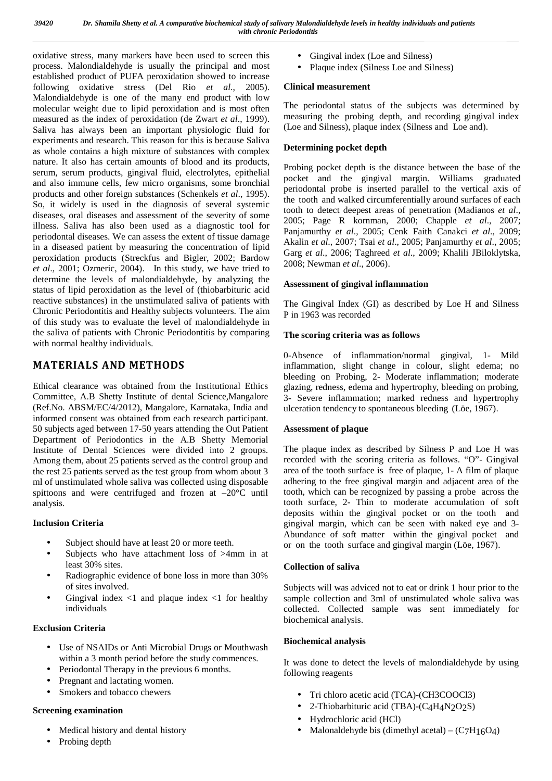oxidative stress, many markers have been used to screen this process. Malondialdehyde is usually the principal and most established product of PUFA peroxidation showed to increase following oxidative stress (Del Rio *et al*., 2005). Malondialdehyde is one of the many end product with low molecular weight due to lipid peroxidation and is most often measured as the index of peroxidation (de Zwart *et al*., 1999). Saliva has always been an important physiologic fluid for experiments and research. This reason for this is because Saliva as whole contains a high mixture of substances with complex nature. It also has certain amounts of blood and its products, serum, serum products, gingival fluid, electrolytes, epithelial and also immune cells, few micro organisms, some bronchial products and other foreign substances (Schenkels *et al*., 1995). So, it widely is used in the diagnosis of several systemic diseases, oral diseases and assessment of the severity of some illness. Saliva has also been used as a diagnostic tool for periodontal diseases. We can assess the extent of tissue damage in a diseased patient by measuring the concentration of lipid peroxidation products (Streckfus and Bigler, 2002; Bardow *et al*., 2001; Ozmeric, 2004). In this study, we have tried to determine the levels of malondialdehyde, by analyzing the status of lipid peroxidation as the level of (thiobarbituric acid reactive substances) in the unstimulated saliva of patients with Chronic Periodontitis and Healthy subjects volunteers. The aim of this study was to evaluate the level of malondialdehyde in the saliva of patients with Chronic Periodontitis by comparing with normal healthy individuals.

# **MATERIALS AND METHODS**

Ethical clearance was obtained from the Institutional Ethics Committee, A.B Shetty Institute of dental Science,Mangalore (Ref.No. ABSM/EC/4/2012), Mangalore, Karnataka, India and informed consent was obtained from each research participant. 50 subjects aged between 17-50 years attending the Out Patient Department of Periodontics in the A.B Shetty Memorial Institute of Dental Sciences were divided into 2 groups. Among them, about 25 patients served as the control group and the rest 25 patients served as the test group from whom about 3 ml of unstimulated whole saliva was collected using disposable spittoons and were centrifuged and frozen at –20°C until analysis.

# **Inclusion Criteria**

- Subject should have at least 20 or more teeth.
- Subjects who have attachment loss of >4mm in at least 30% sites.
- Radiographic evidence of bone loss in more than 30% of sites involved.
- Gingival index  $\langle 1 \rangle$  and plaque index  $\langle 1 \rangle$  for healthy individuals

# **Exclusion Criteria**

- Use of NSAIDs or Anti Microbial Drugs or Mouthwash within a 3 month period before the study commences.
- Periodontal Therapy in the previous 6 months.
- Pregnant and lactating women.
- Smokers and tobacco chewers

### **Screening examination**

- Medical history and dental history
- Probing depth
- Gingival index (Loe and Silness)
- Plaque index (Silness Loe and Silness)

### **Clinical measurement**

The periodontal status of the subjects was determined by measuring the probing depth, and recording gingival index (Loe and Silness), plaque index (Silness and Loe and).

### **Determining pocket depth**

Probing pocket depth is the distance between the base of the pocket and the gingival margin. Williams graduated periodontal probe is inserted parallel to the vertical axis of the tooth and walked circumferentially around surfaces of each tooth to detect deepest areas of penetration (Madianos *et al*., 2005; Page R kornman, 2000; Chapple *et al*., 2007; Panjamurthy *et al*., 2005; Cenk Faith Canakci *et al*., 2009; Akalin *et al*., 2007; Tsai *et al*., 2005; Panjamurthy *et al*., 2005; Garg *et al*., 2006; Taghreed *et al*., 2009; Khalili JBiloklytska, 2008; Newman *et al*., 2006).

### **Assessment of gingival inflammation**

The Gingival Index (GI) as described by Loe H and Silness P in 1963 was recorded

### **The scoring criteria was as follows**

0-Absence of inflammation/normal gingival, 1- Mild inflammation, slight change in colour, slight edema; no bleeding on Probing, 2- Moderate inflammation; moderate glazing, redness, edema and hypertrophy, bleeding on probing, 3- Severe inflammation; marked redness and hypertrophy ulceration tendency to spontaneous bleeding (Löe, 1967).

### **Assessment of plaque**

The plaque index as described by Silness P and Loe H was recorded with the scoring criteria as follows. "O"- Gingival area of the tooth surface is free of plaque, 1- A film of plaque adhering to the free gingival margin and adjacent area of the tooth, which can be recognized by passing a probe across the tooth surface, 2- Thin to moderate accumulation of soft deposits within the gingival pocket or on the tooth and gingival margin, which can be seen with naked eye and 3- Abundance of soft matter within the gingival pocket and or on the tooth surface and gingival margin (Löe, 1967).

### **Collection of saliva**

Subjects will was adviced not to eat or drink 1 hour prior to the sample collection and 3ml of unstimulated whole saliva was collected. Collected sample was sent immediately for biochemical analysis.

### **Biochemical analysis**

It was done to detect the levels of malondialdehyde by using following reagents

- Tri chloro acetic acid (TCA)-(CH3COOCl3)
- 2-Thiobarbituric acid (TBA)-(C4H4N2O2S)
- Hydrochloric acid (HCl)
- Malonaldehyde bis (dimethyl acetal)  $(C7H16O4)$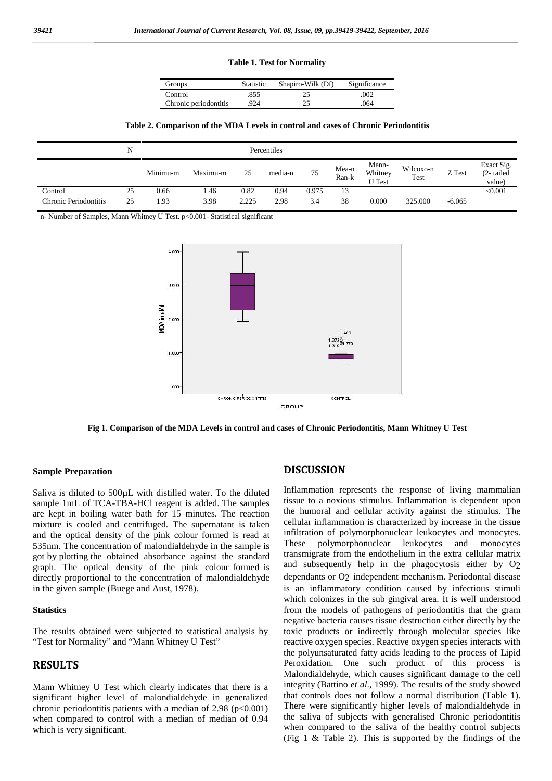#### **Table 1. Test for Normality**

| Groups                | <b>Statistic</b> | Shapiro-Wilk (Df) | Significance |  |
|-----------------------|------------------|-------------------|--------------|--|
| Control               | .855             | 25                | .002         |  |
| Chronic periodontitis | 924              | 25                | 064          |  |

**Table 2. Comparison of the MDA Levels in control and cases of Chronic Periodontitis**

|                       | N  |          |          |       | Percentiles |       |                |                                   |                   |          |                                   |
|-----------------------|----|----------|----------|-------|-------------|-------|----------------|-----------------------------------|-------------------|----------|-----------------------------------|
|                       |    | Minimu-m | Maximu-m | 25    | media-n     | 75    | Mea-n<br>Ran-k | Mann-<br>Whitney<br><b>U</b> Test | Wilcoxo-n<br>Test | Z Test   | Exact Sig.<br>(2-tailed<br>value) |
| Control               | 25 | 0.66     | .46      | 0.82  | 0.94        | 0.975 | 13             |                                   |                   |          | < 0.001                           |
| Chronic Periodontitis | 25 | 1.93     | 3.98     | 2.225 | 2.98        | 3.4   | 38             | 0.000                             | 325.000           | $-6.065$ |                                   |

n- Number of Samples, Mann Whitney U Test. p<0.001- Statistical significant



**Fig 1. Comparison of the MDA Levels in control and cases of Chronic Periodontitis, Mann Whitney U Test**

#### **Sample Preparation**

Saliva is diluted to 500µL with distilled water. To the diluted sample 1mL of TCA-TBA-HCl reagent is added. The samples are kept in boiling water bath for 15 minutes. The reaction mixture is cooled and centrifuged. The supernatant is taken and the optical density of the pink colour formed is read at unfiltra<br>535nm The concentration of malondialdehyde in the sample is These 535nm. The concentration of malondialdehyde in the sample is got by plotting the obtained absorbance against the standard graph. The optical density of the pink colour formed is directly proportional to the concentration of malondialdehyde in the given sample (Buege and Aust, 1978).

#### **Statistics**

The results obtained were subjected to statistical analysis by "Test for Normality" and "Mann Whitney U Test"

### **RESULTS**

Mann Whitney U Test which clearly indicates that there is a significant higher level of malondialdehyde in generalized chronic periodontitis patients with a median of  $2.98$  (p $<0.001$ ) when compared to control with a median of median of 0.94 which is very significant.

#### **DISCUSSION**

Inflammation represents the response of living mammalian tissue to a noxious stimulus. Inflammation is dependent upon the humoral and cellular activity against the stimulus. The cellular inflammation is characterized by increase in the tissue infiltration of polymorphonuclear leukocytes and monocytes. polymorphonuclear leukocytes and monocytes transmigrate from the endothelium in the extra cellular matrix and subsequently help in the phagocytosis either by O2 dependants or O<sub>2</sub> independent mechanism. Periodontal disease is an inflammatory condition caused by infectious stimuli which colonizes in the sub gingival area. It is well understood from the models of pathogens of periodontitis that the gram negative bacteria causes tissue destruction either directly by the toxic products or indirectly through molecular species like reactive oxygen species. Reactive oxygen species interacts with the polyunsaturated fatty acids leading to the process of Lipid Peroxidation. One such product of this process is Malondialdehyde, which causes significant damage to the cell integrity (Battino *et al*., 1999). The results of the study showed that controls does not follow a normal distribution (Table 1). There were significantly higher levels of malondialdehyde in the saliva of subjects with generalised Chronic periodontitis when compared to the saliva of the healthy control subjects (Fig 1 & Table 2). This is supported by the findings of the